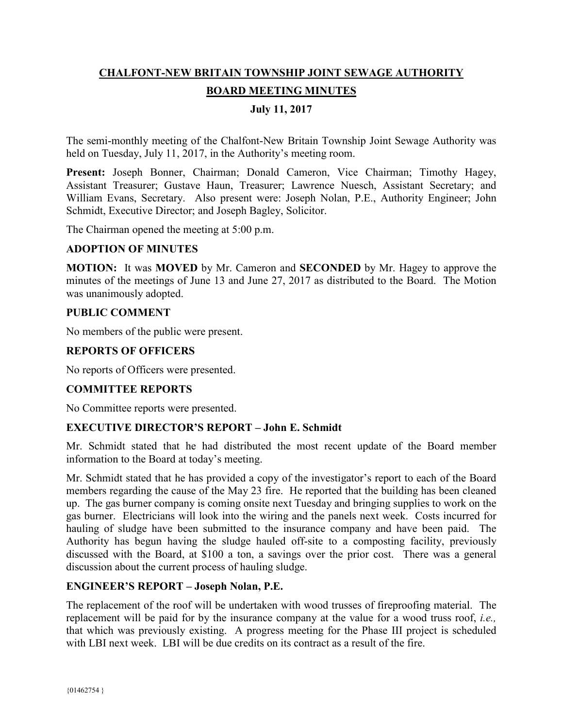# **CHALFONT-NEW BRITAIN TOWNSHIP JOINT SEWAGE AUTHORITY BOARD MEETING MINUTES**

## **July 11, 2017**

The semi-monthly meeting of the Chalfont-New Britain Township Joint Sewage Authority was held on Tuesday, July 11, 2017, in the Authority's meeting room.

Present: Joseph Bonner, Chairman; Donald Cameron, Vice Chairman; Timothy Hagey, Assistant Treasurer; Gustave Haun, Treasurer; Lawrence Nuesch, Assistant Secretary; and William Evans, Secretary. Also present were: Joseph Nolan, P.E., Authority Engineer; John Schmidt, Executive Director; and Joseph Bagley, Solicitor.

The Chairman opened the meeting at 5:00 p.m.

#### **ADOPTION OF MINUTES**

**MOTION:** It was **MOVED** by Mr. Cameron and **SECONDED** by Mr. Hagey to approve the minutes of the meetings of June 13 and June 27, 2017 as distributed to the Board. The Motion was unanimously adopted.

#### **PUBLIC COMMENT**

No members of the public were present.

## **REPORTS OF OFFICERS**

No reports of Officers were presented.

## **COMMITTEE REPORTS**

No Committee reports were presented.

## **EXECUTIVE DIRECTOR'S REPORT – John E. Schmidt**

Mr. Schmidt stated that he had distributed the most recent update of the Board member information to the Board at today's meeting.

Mr. Schmidt stated that he has provided a copy of the investigator's report to each of the Board members regarding the cause of the May 23 fire. He reported that the building has been cleaned up. The gas burner company is coming onsite next Tuesday and bringing supplies to work on the gas burner. Electricians will look into the wiring and the panels next week. Costs incurred for hauling of sludge have been submitted to the insurance company and have been paid. The Authority has begun having the sludge hauled off-site to a composting facility, previously discussed with the Board, at \$100 a ton, a savings over the prior cost. There was a general discussion about the current process of hauling sludge.

## **ENGINEER'S REPORT – Joseph Nolan, P.E.**

The replacement of the roof will be undertaken with wood trusses of fireproofing material. The replacement will be paid for by the insurance company at the value for a wood truss roof, *i.e.,*  that which was previously existing. A progress meeting for the Phase III project is scheduled with LBI next week. LBI will be due credits on its contract as a result of the fire.